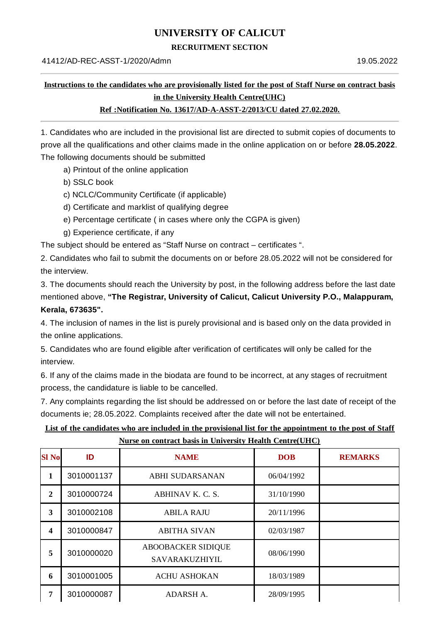# **UNIVERSITY OF CALICUT**

#### **RECRUITMENT SECTION**

## **Instructions to the candidates who are provisionally listed for the post of Staff Nurse on contract basis in the University Health Centre(UHC)**

#### **Ref :Notification No. 13617/AD-A-ASST-2/2013/CU dated 27.02.2020.**

1. Candidates who are included in the provisional list are directed to submit copies of documents to prove all the qualifications and other claims made in the online application on or before **28.05.2022**. The following documents should be submitted

- a) Printout of the online application
- b) SSLC book
- c) NCLC/Community Certificate (if applicable)
- d) Certificate and marklist of qualifying degree
- e) Percentage certificate ( in cases where only the CGPA is given)
- g) Experience certificate, if any

The subject should be entered as "Staff Nurse on contract – certificates ".

2. Candidates who fail to submit the documents on or before 28.05.2022 will not be considered for the interview.

3. The documents should reach the University by post, in the following address before the last date mentioned above, **"The Registrar, University of Calicut, Calicut University P.O., Malappuram, Kerala, 673635".**

4. The inclusion of names in the list is purely provisional and is based only on the data provided in the online applications.

5. Candidates who are found eligible after verification of certificates will only be called for the interview.

6. If any of the claims made in the biodata are found to be incorrect, at any stages of recruitment process, the candidature is liable to be cancelled.

7. Any complaints regarding the list should be addressed on or before the last date of receipt of the documents ie; 28.05.2022. Complaints received after the date will not be entertained.

### List of the candidates who are included in the provisional list for the appointment to the post of Staff **Nurse on contract basis in University Health Centre(UHC)**

| <b>SI No</b>   | ID         | <b>NAME</b>                                 | <b>DOB</b> | <b>REMARKS</b> |
|----------------|------------|---------------------------------------------|------------|----------------|
| 1              | 3010001137 | <b>ABHI SUDARSANAN</b>                      | 06/04/1992 |                |
| $\overline{2}$ | 3010000724 | ABHINAV K. C. S.                            | 31/10/1990 |                |
| 3              | 3010002108 | <b>ABILA RAJU</b>                           | 20/11/1996 |                |
| 4              | 3010000847 | <b>ABITHA SIVAN</b>                         | 02/03/1987 |                |
| 5              | 3010000020 | <b>ABOOBACKER SIDIQUE</b><br>SAVARAKUZHIYIL | 08/06/1990 |                |
| 6              | 3010001005 | <b>ACHU ASHOKAN</b>                         | 18/03/1989 |                |
| 7              | 3010000087 | ADARSH A.                                   | 28/09/1995 |                |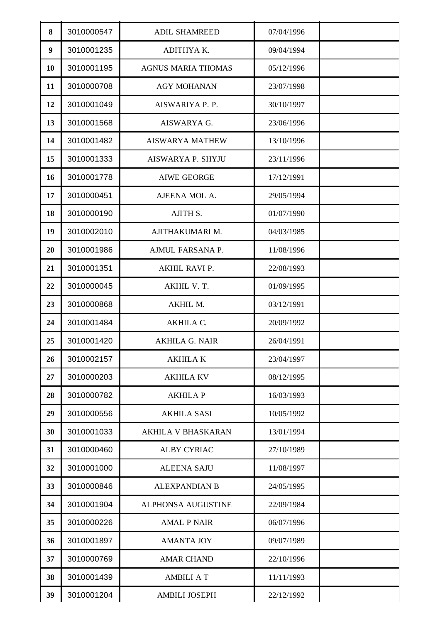| 8  | 3010000547 | <b>ADIL SHAMREED</b>      | 07/04/1996 |  |
|----|------------|---------------------------|------------|--|
| 9  | 3010001235 | ADITHYA K.                | 09/04/1994 |  |
| 10 | 3010001195 | <b>AGNUS MARIA THOMAS</b> | 05/12/1996 |  |
| 11 | 3010000708 | <b>AGY MOHANAN</b>        | 23/07/1998 |  |
| 12 | 3010001049 | AISWARIYA P. P.           | 30/10/1997 |  |
| 13 | 3010001568 | AISWARYA G.               | 23/06/1996 |  |
| 14 | 3010001482 | <b>AISWARYA MATHEW</b>    | 13/10/1996 |  |
| 15 | 3010001333 | AISWARYA P. SHYJU         | 23/11/1996 |  |
| 16 | 3010001778 | <b>AIWE GEORGE</b>        | 17/12/1991 |  |
| 17 | 3010000451 | AJEENA MOL A.             | 29/05/1994 |  |
| 18 | 3010000190 | AJITH S.                  | 01/07/1990 |  |
| 19 | 3010002010 | AJITHAKUMARI M.           | 04/03/1985 |  |
| 20 | 3010001986 | AJMUL FARSANA P.          | 11/08/1996 |  |
| 21 | 3010001351 | AKHIL RAVI P.             | 22/08/1993 |  |
| 22 | 3010000045 | AKHIL V. T.               | 01/09/1995 |  |
| 23 | 3010000868 | AKHIL M.                  | 03/12/1991 |  |
| 24 | 3010001484 | AKHILA C.                 | 20/09/1992 |  |
| 25 | 3010001420 | <b>AKHILA G. NAIR</b>     | 26/04/1991 |  |
| 26 | 3010002157 | <b>AKHILAK</b>            | 23/04/1997 |  |
| 27 | 3010000203 | <b>AKHILA KV</b>          | 08/12/1995 |  |
| 28 | 3010000782 | <b>AKHILA P</b>           | 16/03/1993 |  |
| 29 | 3010000556 | AKHILA SASI               | 10/05/1992 |  |
| 30 | 3010001033 | AKHILA V BHASKARAN        | 13/01/1994 |  |
| 31 | 3010000460 | <b>ALBY CYRIAC</b>        | 27/10/1989 |  |
| 32 | 3010001000 | <b>ALEENA SAJU</b>        | 11/08/1997 |  |
| 33 | 3010000846 | <b>ALEXPANDIAN B</b>      | 24/05/1995 |  |
| 34 | 3010001904 | <b>ALPHONSA AUGUSTINE</b> | 22/09/1984 |  |
| 35 | 3010000226 | <b>AMAL P NAIR</b>        | 06/07/1996 |  |
| 36 | 3010001897 | <b>AMANTA JOY</b>         | 09/07/1989 |  |
| 37 | 3010000769 | <b>AMAR CHAND</b>         | 22/10/1996 |  |
| 38 | 3010001439 | <b>AMBILI A T</b>         | 11/11/1993 |  |
| 39 | 3010001204 | <b>AMBILI JOSEPH</b>      | 22/12/1992 |  |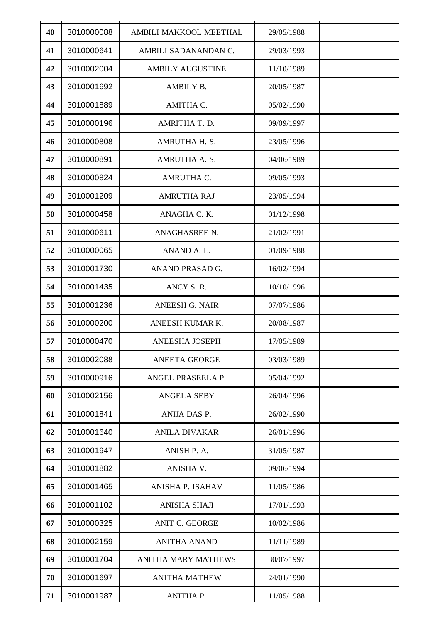| 40 | 3010000088 | AMBILI MAKKOOL MEETHAL     | 29/05/1988 |  |
|----|------------|----------------------------|------------|--|
| 41 | 3010000641 | AMBILI SADANANDAN C.       | 29/03/1993 |  |
| 42 | 3010002004 | <b>AMBILY AUGUSTINE</b>    | 11/10/1989 |  |
| 43 | 3010001692 | AMBILY B.                  | 20/05/1987 |  |
| 44 | 3010001889 | AMITHA C.                  | 05/02/1990 |  |
| 45 | 3010000196 | AMRITHA T. D.              | 09/09/1997 |  |
| 46 | 3010000808 | AMRUTHA H. S.              | 23/05/1996 |  |
| 47 | 3010000891 | AMRUTHA A. S.              | 04/06/1989 |  |
| 48 | 3010000824 | AMRUTHA C.                 | 09/05/1993 |  |
| 49 | 3010001209 | <b>AMRUTHA RAJ</b>         | 23/05/1994 |  |
| 50 | 3010000458 | ANAGHA C. K.               | 01/12/1998 |  |
| 51 | 3010000611 | ANAGHASREE N.              | 21/02/1991 |  |
| 52 | 3010000065 | ANAND A. L.                | 01/09/1988 |  |
| 53 | 3010001730 | ANAND PRASAD G.            | 16/02/1994 |  |
| 54 | 3010001435 | ANCY S.R.                  | 10/10/1996 |  |
| 55 | 3010001236 | <b>ANEESH G. NAIR</b>      | 07/07/1986 |  |
| 56 | 3010000200 | ANEESH KUMAR K.            | 20/08/1987 |  |
| 57 | 3010000470 | <b>ANEESHA JOSEPH</b>      | 17/05/1989 |  |
| 58 | 3010002088 | <b>ANEETA GEORGE</b>       | 03/03/1989 |  |
| 59 | 3010000916 | ANGEL PRASEELA P.          | 05/04/1992 |  |
| 60 | 3010002156 | <b>ANGELA SEBY</b>         | 26/04/1996 |  |
| 61 | 3010001841 | ANIJA DAS P.               | 26/02/1990 |  |
| 62 | 3010001640 | <b>ANILA DIVAKAR</b>       | 26/01/1996 |  |
| 63 | 3010001947 | ANISH P. A.                | 31/05/1987 |  |
| 64 | 3010001882 | ANISHA V.                  | 09/06/1994 |  |
| 65 | 3010001465 | ANISHA P. ISAHAV           | 11/05/1986 |  |
| 66 | 3010001102 | <b>ANISHA SHAJI</b>        | 17/01/1993 |  |
| 67 | 3010000325 | <b>ANIT C. GEORGE</b>      | 10/02/1986 |  |
| 68 | 3010002159 | <b>ANITHA ANAND</b>        | 11/11/1989 |  |
| 69 | 3010001704 | <b>ANITHA MARY MATHEWS</b> | 30/07/1997 |  |
| 70 | 3010001697 | <b>ANITHA MATHEW</b>       | 24/01/1990 |  |
| 71 | 3010001987 | ANITHA P.                  | 11/05/1988 |  |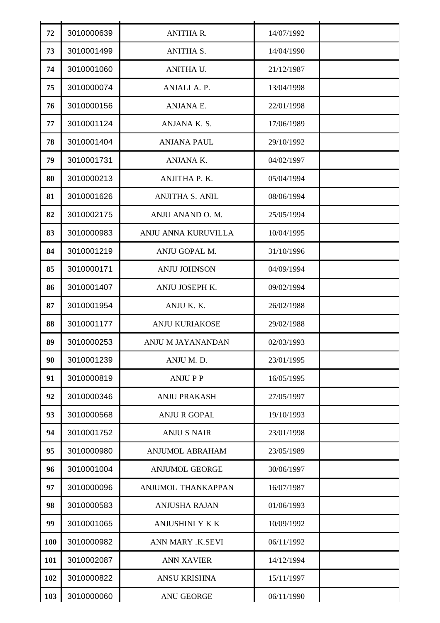| 72  | 3010000639 | <b>ANITHA R.</b>        | 14/07/1992 |  |
|-----|------------|-------------------------|------------|--|
| 73  | 3010001499 | <b>ANITHA S.</b>        | 14/04/1990 |  |
| 74  | 3010001060 | ANITHA U.               | 21/12/1987 |  |
| 75  | 3010000074 | ANJALI A. P.            | 13/04/1998 |  |
| 76  | 3010000156 | ANJANA E.               | 22/01/1998 |  |
| 77  | 3010001124 | ANJANA K.S.             | 17/06/1989 |  |
| 78  | 3010001404 | <b>ANJANA PAUL</b>      | 29/10/1992 |  |
| 79  | 3010001731 | ANJANA K.               | 04/02/1997 |  |
| 80  | 3010000213 | ANJITHA P. K.           | 05/04/1994 |  |
| 81  | 3010001626 | <b>ANJITHA S. ANIL</b>  | 08/06/1994 |  |
| 82  | 3010002175 | ANJU ANAND O. M.        | 25/05/1994 |  |
| 83  | 3010000983 | ANJU ANNA KURUVILLA     | 10/04/1995 |  |
| 84  | 3010001219 | ANJU GOPAL M.           | 31/10/1996 |  |
| 85  | 3010000171 | <b>ANJU JOHNSON</b>     | 04/09/1994 |  |
| 86  | 3010001407 | ANJU JOSEPH K.          | 09/02/1994 |  |
| 87  | 3010001954 | ANJU K. K.              | 26/02/1988 |  |
| 88  | 3010001177 | <b>ANJU KURIAKOSE</b>   | 29/02/1988 |  |
| 89  | 3010000253 | ANJU M JAYANANDAN       | 02/03/1993 |  |
| 90  | 3010001239 | ANJU M.D.               | 23/01/1995 |  |
| 91  | 3010000819 | <b>ANJUPP</b>           | 16/05/1995 |  |
| 92  | 3010000346 | <b>ANJU PRAKASH</b>     | 27/05/1997 |  |
| 93  | 3010000568 | <b>ANJU R GOPAL</b>     | 19/10/1993 |  |
| 94  | 3010001752 | <b>ANJU S NAIR</b>      | 23/01/1998 |  |
| 95  | 3010000980 | <b>ANJUMOL ABRAHAM</b>  | 23/05/1989 |  |
| 96  | 3010001004 | <b>ANJUMOL GEORGE</b>   | 30/06/1997 |  |
| 97  | 3010000096 | ANJUMOL THANKAPPAN      | 16/07/1987 |  |
| 98  | 3010000583 | <b>ANJUSHA RAJAN</b>    | 01/06/1993 |  |
| 99  | 3010001065 | <b>ANJUSHINLY K K</b>   | 10/09/1992 |  |
| 100 | 3010000982 | <b>ANN MARY .K.SEVI</b> | 06/11/1992 |  |
| 101 | 3010002087 | <b>ANN XAVIER</b>       | 14/12/1994 |  |
| 102 | 3010000822 | <b>ANSU KRISHNA</b>     | 15/11/1997 |  |
| 103 | 3010000060 | <b>ANU GEORGE</b>       | 06/11/1990 |  |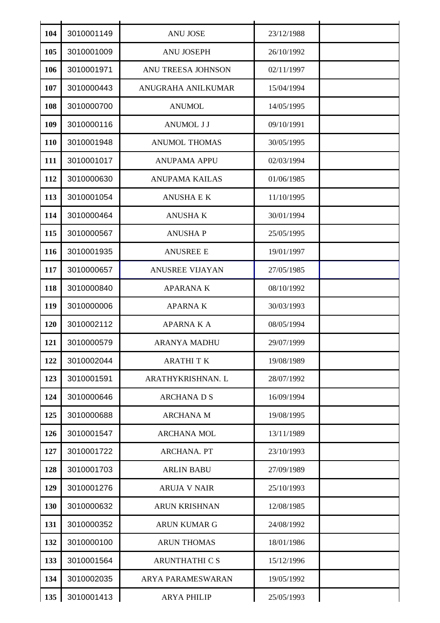| 104 | 3010001149 | <b>ANU JOSE</b>          | 23/12/1988 |  |
|-----|------------|--------------------------|------------|--|
| 105 | 3010001009 | <b>ANU JOSEPH</b>        | 26/10/1992 |  |
| 106 | 3010001971 | ANU TREESA JOHNSON       | 02/11/1997 |  |
| 107 | 3010000443 | ANUGRAHA ANILKUMAR       | 15/04/1994 |  |
| 108 | 3010000700 | <b>ANUMOL</b>            | 14/05/1995 |  |
| 109 | 3010000116 | <b>ANUMOL J J</b>        | 09/10/1991 |  |
| 110 | 3010001948 | <b>ANUMOL THOMAS</b>     | 30/05/1995 |  |
| 111 | 3010001017 | <b>ANUPAMA APPU</b>      | 02/03/1994 |  |
| 112 | 3010000630 | <b>ANUPAMA KAILAS</b>    | 01/06/1985 |  |
| 113 | 3010001054 | <b>ANUSHA E K</b>        | 11/10/1995 |  |
| 114 | 3010000464 | <b>ANUSHAK</b>           | 30/01/1994 |  |
| 115 | 3010000567 | <b>ANUSHAP</b>           | 25/05/1995 |  |
| 116 | 3010001935 | <b>ANUSREE E</b>         | 19/01/1997 |  |
| 117 | 3010000657 | <b>ANUSREE VIJAYAN</b>   | 27/05/1985 |  |
| 118 | 3010000840 | <b>APARANAK</b>          | 08/10/1992 |  |
| 119 | 3010000006 | <b>APARNAK</b>           | 30/03/1993 |  |
| 120 | 3010002112 | <b>APARNAKA</b>          | 08/05/1994 |  |
| 121 | 3010000579 | <b>ARANYA MADHU</b>      | 29/07/1999 |  |
| 122 | 3010002044 | <b>ARATHITK</b>          | 19/08/1989 |  |
| 123 | 3010001591 | ARATHYKRISHNAN. L        | 28/07/1992 |  |
| 124 | 3010000646 | <b>ARCHANADS</b>         | 16/09/1994 |  |
| 125 | 3010000688 | <b>ARCHANA M</b>         | 19/08/1995 |  |
| 126 | 3010001547 | <b>ARCHANA MOL</b>       | 13/11/1989 |  |
| 127 | 3010001722 | ARCHANA. PT              | 23/10/1993 |  |
| 128 | 3010001703 | <b>ARLIN BABU</b>        | 27/09/1989 |  |
| 129 | 3010001276 | <b>ARUJA V NAIR</b>      | 25/10/1993 |  |
| 130 | 3010000632 | <b>ARUN KRISHNAN</b>     | 12/08/1985 |  |
| 131 | 3010000352 | <b>ARUN KUMAR G</b>      | 24/08/1992 |  |
| 132 | 3010000100 | <b>ARUN THOMAS</b>       | 18/01/1986 |  |
| 133 | 3010001564 | <b>ARUNTHATHI C S</b>    | 15/12/1996 |  |
| 134 | 3010002035 | <b>ARYA PARAMESWARAN</b> | 19/05/1992 |  |
| 135 | 3010001413 | <b>ARYA PHILIP</b>       | 25/05/1993 |  |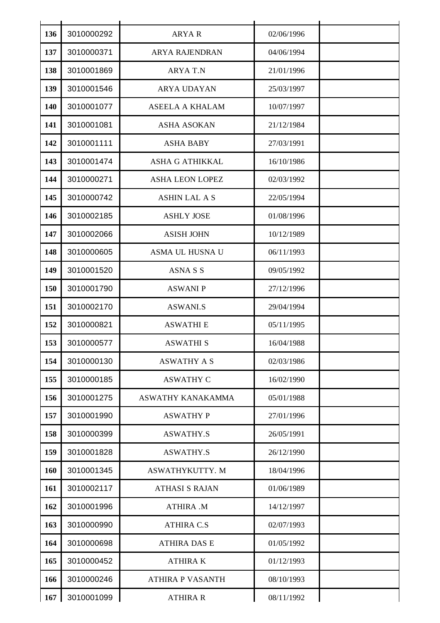| 136 | 3010000292 | <b>ARYAR</b>            | 02/06/1996 |  |
|-----|------------|-------------------------|------------|--|
| 137 | 3010000371 | <b>ARYA RAJENDRAN</b>   | 04/06/1994 |  |
| 138 | 3010001869 | <b>ARYAT.N</b>          | 21/01/1996 |  |
| 139 | 3010001546 | <b>ARYA UDAYAN</b>      | 25/03/1997 |  |
| 140 | 3010001077 | ASEELA A KHALAM         | 10/07/1997 |  |
| 141 | 3010001081 | <b>ASHA ASOKAN</b>      | 21/12/1984 |  |
| 142 | 3010001111 | <b>ASHA BABY</b>        | 27/03/1991 |  |
| 143 | 3010001474 | <b>ASHA G ATHIKKAL</b>  | 16/10/1986 |  |
| 144 | 3010000271 | <b>ASHA LEON LOPEZ</b>  | 02/03/1992 |  |
| 145 | 3010000742 | <b>ASHIN LAL A S</b>    | 22/05/1994 |  |
| 146 | 3010002185 | <b>ASHLY JOSE</b>       | 01/08/1996 |  |
| 147 | 3010002066 | <b>ASISH JOHN</b>       | 10/12/1989 |  |
| 148 | 3010000605 | ASMA UL HUSNA U         | 06/11/1993 |  |
| 149 | 3010001520 | <b>ASNA S S</b>         | 09/05/1992 |  |
| 150 | 3010001790 | <b>ASWANI P</b>         | 27/12/1996 |  |
| 151 | 3010002170 | <b>ASWANI.S</b>         | 29/04/1994 |  |
| 152 | 3010000821 | <b>ASWATHI E</b>        | 05/11/1995 |  |
| 153 | 3010000577 | <b>ASWATHI S</b>        | 16/04/1988 |  |
| 154 | 3010000130 | <b>ASWATHY A S</b>      | 02/03/1986 |  |
| 155 | 3010000185 | <b>ASWATHY C</b>        | 16/02/1990 |  |
| 156 | 3010001275 | ASWATHY KANAKAMMA       | 05/01/1988 |  |
| 157 | 3010001990 | <b>ASWATHY P</b>        | 27/01/1996 |  |
| 158 | 3010000399 | <b>ASWATHY.S</b>        | 26/05/1991 |  |
| 159 | 3010001828 | <b>ASWATHY.S</b>        | 26/12/1990 |  |
| 160 | 3010001345 | ASWATHYKUTTY. M         | 18/04/1996 |  |
| 161 | 3010002117 | <b>ATHASI S RAJAN</b>   | 01/06/1989 |  |
| 162 | 3010001996 | ATHIRA .M               | 14/12/1997 |  |
| 163 | 3010000990 | <b>ATHIRA C.S</b>       | 02/07/1993 |  |
| 164 | 3010000698 | <b>ATHIRA DAS E</b>     | 01/05/1992 |  |
| 165 | 3010000452 | <b>ATHIRAK</b>          | 01/12/1993 |  |
| 166 | 3010000246 | <b>ATHIRA P VASANTH</b> | 08/10/1993 |  |
| 167 | 3010001099 | <b>ATHIRA R</b>         | 08/11/1992 |  |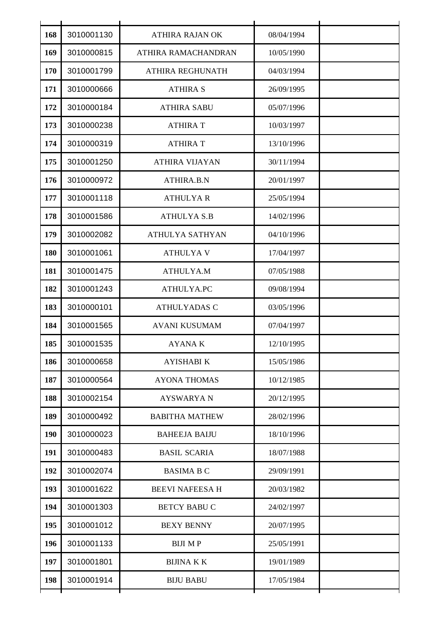| 168 | 3010001130 | <b>ATHIRA RAJAN OK</b> | 08/04/1994 |
|-----|------------|------------------------|------------|
| 169 | 3010000815 | ATHIRA RAMACHANDRAN    | 10/05/1990 |
| 170 | 3010001799 | ATHIRA REGHUNATH       | 04/03/1994 |
| 171 | 3010000666 | <b>ATHIRA S</b>        | 26/09/1995 |
| 172 | 3010000184 | <b>ATHIRA SABU</b>     | 05/07/1996 |
| 173 | 3010000238 | <b>ATHIRA T</b>        | 10/03/1997 |
| 174 | 3010000319 | <b>ATHIRA T</b>        | 13/10/1996 |
| 175 | 3010001250 | <b>ATHIRA VIJAYAN</b>  | 30/11/1994 |
| 176 | 3010000972 | ATHIRA.B.N             | 20/01/1997 |
| 177 | 3010001118 | <b>ATHULYAR</b>        | 25/05/1994 |
| 178 | 3010001586 | <b>ATHULYA S.B</b>     | 14/02/1996 |
| 179 | 3010002082 | <b>ATHULYA SATHYAN</b> | 04/10/1996 |
| 180 | 3010001061 | <b>ATHULYAV</b>        | 17/04/1997 |
| 181 | 3010001475 | ATHULYA.M              | 07/05/1988 |
| 182 | 3010001243 | ATHULYA.PC             | 09/08/1994 |
| 183 | 3010000101 | <b>ATHULYADAS C</b>    | 03/05/1996 |
| 184 | 3010001565 | <b>AVANI KUSUMAM</b>   | 07/04/1997 |
| 185 | 3010001535 | <b>AYANAK</b>          | 12/10/1995 |
| 186 | 3010000658 | <b>AYISHABI K</b>      | 15/05/1986 |
| 187 | 3010000564 | <b>AYONA THOMAS</b>    | 10/12/1985 |
| 188 | 3010002154 | <b>AYSWARYAN</b>       | 20/12/1995 |
| 189 | 3010000492 | <b>BABITHA MATHEW</b>  | 28/02/1996 |
| 190 | 3010000023 | <b>BAHEEJA BAIJU</b>   | 18/10/1996 |
| 191 | 3010000483 | <b>BASIL SCARIA</b>    | 18/07/1988 |
| 192 | 3010002074 | <b>BASIMA B C</b>      | 29/09/1991 |
| 193 | 3010001622 | <b>BEEVI NAFEESA H</b> | 20/03/1982 |
| 194 | 3010001303 | <b>BETCY BABU C</b>    | 24/02/1997 |
| 195 | 3010001012 | <b>BEXY BENNY</b>      | 20/07/1995 |
| 196 | 3010001133 | <b>BIJI MP</b>         | 25/05/1991 |
| 197 | 3010001801 | <b>BIJINA K K</b>      | 19/01/1989 |
| 198 | 3010001914 | <b>BIJU BABU</b>       | 17/05/1984 |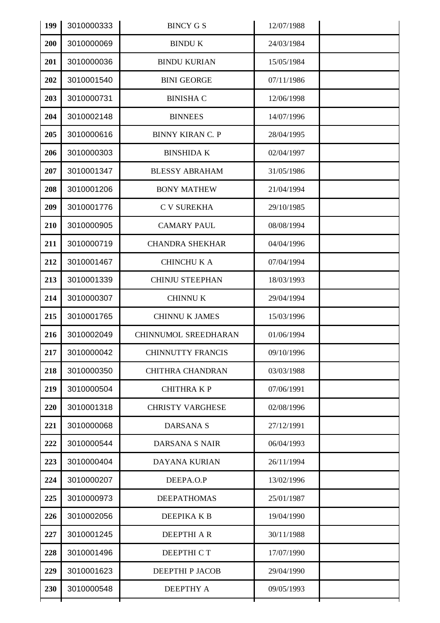| 199 | 3010000333 | <b>BINCY G S</b>         | 12/07/1988 |  |
|-----|------------|--------------------------|------------|--|
| 200 | 3010000069 | <b>BINDU K</b>           | 24/03/1984 |  |
| 201 | 3010000036 | <b>BINDU KURIAN</b>      | 15/05/1984 |  |
| 202 | 3010001540 | <b>BINI GEORGE</b>       | 07/11/1986 |  |
| 203 | 3010000731 | <b>BINISHA C</b>         | 12/06/1998 |  |
| 204 | 3010002148 | <b>BINNEES</b>           | 14/07/1996 |  |
| 205 | 3010000616 | <b>BINNY KIRAN C. P</b>  | 28/04/1995 |  |
| 206 | 3010000303 | <b>BINSHIDA K</b>        | 02/04/1997 |  |
| 207 | 3010001347 | <b>BLESSY ABRAHAM</b>    | 31/05/1986 |  |
| 208 | 3010001206 | <b>BONY MATHEW</b>       | 21/04/1994 |  |
| 209 | 3010001776 | <b>C V SUREKHA</b>       | 29/10/1985 |  |
| 210 | 3010000905 | <b>CAMARY PAUL</b>       | 08/08/1994 |  |
| 211 | 3010000719 | <b>CHANDRA SHEKHAR</b>   | 04/04/1996 |  |
| 212 | 3010001467 | <b>CHINCHU K A</b>       | 07/04/1994 |  |
| 213 | 3010001339 | <b>CHINJU STEEPHAN</b>   | 18/03/1993 |  |
| 214 | 3010000307 | <b>CHINNUK</b>           | 29/04/1994 |  |
| 215 | 3010001765 | <b>CHINNU K JAMES</b>    | 15/03/1996 |  |
| 216 | 3010002049 | CHINNUMOL SREEDHARAN     | 01/06/1994 |  |
| 217 | 3010000042 | <b>CHINNUTTY FRANCIS</b> | 09/10/1996 |  |
| 218 | 3010000350 | <b>CHITHRA CHANDRAN</b>  | 03/03/1988 |  |
| 219 | 3010000504 | <b>CHITHRAKP</b>         | 07/06/1991 |  |
| 220 | 3010001318 | <b>CHRISTY VARGHESE</b>  | 02/08/1996 |  |
| 221 | 3010000068 | <b>DARSANAS</b>          | 27/12/1991 |  |
| 222 | 3010000544 | <b>DARSANA S NAIR</b>    | 06/04/1993 |  |
| 223 | 3010000404 | <b>DAYANA KURIAN</b>     | 26/11/1994 |  |
| 224 | 3010000207 | DEEPA.O.P                | 13/02/1996 |  |
| 225 | 3010000973 | <b>DEEPATHOMAS</b>       | 25/01/1987 |  |
| 226 | 3010002056 | DEEPIKA K B              | 19/04/1990 |  |
| 227 | 3010001245 | <b>DEEPTHI AR</b>        | 30/11/1988 |  |
| 228 | 3010001496 | DEEPTHI C T              | 17/07/1990 |  |
| 229 | 3010001623 | DEEPTHI P JACOB          | 29/04/1990 |  |
| 230 | 3010000548 | <b>DEEPTHY A</b>         | 09/05/1993 |  |
|     |            |                          |            |  |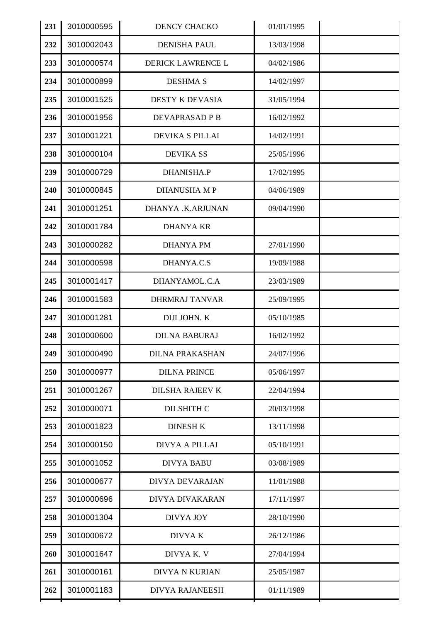| 231 | 3010000595 | <b>DENCY CHACKO</b>    | 01/01/1995 |  |
|-----|------------|------------------------|------------|--|
| 232 | 3010002043 | <b>DENISHA PAUL</b>    | 13/03/1998 |  |
| 233 | 3010000574 | DERICK LAWRENCE L      | 04/02/1986 |  |
| 234 | 3010000899 | <b>DESHMA S</b>        | 14/02/1997 |  |
| 235 | 3010001525 | <b>DESTY K DEVASIA</b> | 31/05/1994 |  |
| 236 | 3010001956 | DEVAPRASAD P B         | 16/02/1992 |  |
| 237 | 3010001221 | DEVIKA S PILLAI        | 14/02/1991 |  |
| 238 | 3010000104 | <b>DEVIKA SS</b>       | 25/05/1996 |  |
| 239 | 3010000729 | DHANISHA.P             | 17/02/1995 |  |
| 240 | 3010000845 | <b>DHANUSHA MP</b>     | 04/06/1989 |  |
| 241 | 3010001251 | DHANYA .K.ARJUNAN      | 09/04/1990 |  |
| 242 | 3010001784 | <b>DHANYA KR</b>       |            |  |
| 243 | 3010000282 | <b>DHANYA PM</b>       | 27/01/1990 |  |
| 244 | 3010000598 | DHANYA.C.S             | 19/09/1988 |  |
| 245 | 3010001417 | DHANYAMOL.C.A          | 23/03/1989 |  |
| 246 | 3010001583 | <b>DHRMRAJ TANVAR</b>  | 25/09/1995 |  |
| 247 | 3010001281 | DIJI JOHN. K           | 05/10/1985 |  |
| 248 | 3010000600 | <b>DILNA BABURAJ</b>   | 16/02/1992 |  |
| 249 | 3010000490 | <b>DILNA PRAKASHAN</b> | 24/07/1996 |  |
| 250 | 3010000977 | <b>DILNA PRINCE</b>    | 05/06/1997 |  |
| 251 | 3010001267 | DILSHA RAJEEV K        | 22/04/1994 |  |
| 252 | 3010000071 | <b>DILSHITH C</b>      | 20/03/1998 |  |
| 253 | 3010001823 | <b>DINESH K</b>        | 13/11/1998 |  |
| 254 | 3010000150 | DIVYA A PILLAI         | 05/10/1991 |  |
| 255 | 3010001052 | <b>DIVYA BABU</b>      | 03/08/1989 |  |
| 256 | 3010000677 | <b>DIVYA DEVARAJAN</b> | 11/01/1988 |  |
| 257 | 3010000696 | DIVYA DIVAKARAN        | 17/11/1997 |  |
| 258 | 3010001304 | DIVYA JOY              | 28/10/1990 |  |
| 259 | 3010000672 | DIVYA K                | 26/12/1986 |  |
| 260 | 3010001647 | DIVYA K. V             | 27/04/1994 |  |
| 261 | 3010000161 | <b>DIVYA N KURIAN</b>  | 25/05/1987 |  |
| 262 | 3010001183 | <b>DIVYA RAJANEESH</b> | 01/11/1989 |  |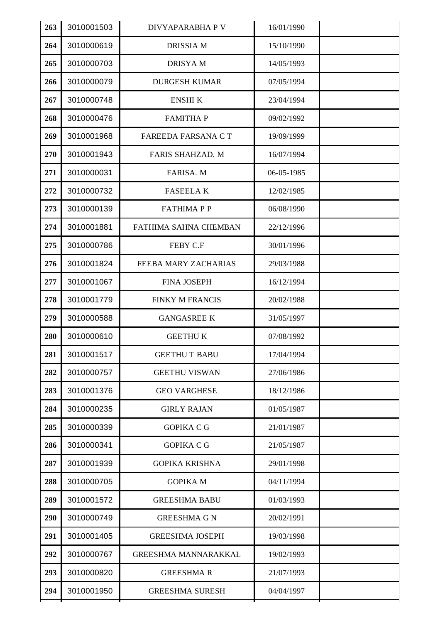| 263 | 3010001503 | DIVYAPARABHA P V            | 16/01/1990 |  |
|-----|------------|-----------------------------|------------|--|
| 264 | 3010000619 | <b>DRISSIA M</b>            | 15/10/1990 |  |
| 265 | 3010000703 | <b>DRISYAM</b>              | 14/05/1993 |  |
| 266 | 3010000079 | <b>DURGESH KUMAR</b>        | 07/05/1994 |  |
| 267 | 3010000748 | <b>ENSHIK</b>               | 23/04/1994 |  |
| 268 | 3010000476 | <b>FAMITHAP</b>             | 09/02/1992 |  |
| 269 | 3010001968 | FAREEDA FARSANA CT          | 19/09/1999 |  |
| 270 | 3010001943 | FARIS SHAHZAD. M            | 16/07/1994 |  |
| 271 | 3010000031 | FARISA. M                   | 06-05-1985 |  |
| 272 | 3010000732 | <b>FASEELAK</b>             | 12/02/1985 |  |
| 273 | 3010000139 | <b>FATHIMAPP</b>            | 06/08/1990 |  |
| 274 | 3010001881 | FATHIMA SAHNA CHEMBAN       | 22/12/1996 |  |
| 275 | 3010000786 | FEBY C.F                    | 30/01/1996 |  |
| 276 | 3010001824 | FEEBA MARY ZACHARIAS        | 29/03/1988 |  |
| 277 | 3010001067 | <b>FINA JOSEPH</b>          | 16/12/1994 |  |
| 278 | 3010001779 | <b>FINKY M FRANCIS</b>      | 20/02/1988 |  |
| 279 | 3010000588 | <b>GANGASREE K</b>          | 31/05/1997 |  |
| 280 | 3010000610 | <b>GEETHUK</b>              | 07/08/1992 |  |
| 281 | 3010001517 | <b>GEETHU T BABU</b>        | 17/04/1994 |  |
| 282 | 3010000757 | <b>GEETHU VISWAN</b>        | 27/06/1986 |  |
| 283 | 3010001376 | <b>GEO VARGHESE</b>         | 18/12/1986 |  |
| 284 | 3010000235 | <b>GIRLY RAJAN</b>          | 01/05/1987 |  |
| 285 | 3010000339 | <b>GOPIKA C G</b>           | 21/01/1987 |  |
| 286 | 3010000341 | <b>GOPIKA C G</b>           | 21/05/1987 |  |
| 287 | 3010001939 | <b>GOPIKA KRISHNA</b>       | 29/01/1998 |  |
| 288 | 3010000705 | <b>GOPIKA M</b>             | 04/11/1994 |  |
| 289 | 3010001572 | <b>GREESHMA BABU</b>        | 01/03/1993 |  |
| 290 | 3010000749 | <b>GREESHMA G N</b>         | 20/02/1991 |  |
| 291 | 3010001405 | <b>GREESHMA JOSEPH</b>      | 19/03/1998 |  |
| 292 | 3010000767 | <b>GREESHMA MANNARAKKAL</b> | 19/02/1993 |  |
| 293 | 3010000820 | <b>GREESHMAR</b>            | 21/07/1993 |  |
| 294 | 3010001950 | <b>GREESHMA SURESH</b>      | 04/04/1997 |  |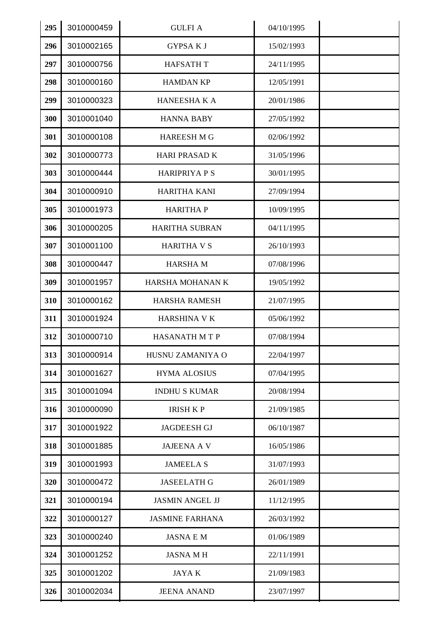| 295 | 3010000459 | <b>GULFIA</b>          | 04/10/1995 |  |
|-----|------------|------------------------|------------|--|
| 296 | 3010002165 | <b>GYPSAKJ</b>         | 15/02/1993 |  |
| 297 | 3010000756 | <b>HAFSATH T</b>       | 24/11/1995 |  |
| 298 | 3010000160 | <b>HAMDAN KP</b>       | 12/05/1991 |  |
| 299 | 3010000323 | <b>HANEESHAKA</b>      | 20/01/1986 |  |
| 300 | 3010001040 | <b>HANNA BABY</b>      | 27/05/1992 |  |
| 301 | 3010000108 | <b>HAREESH MG</b>      | 02/06/1992 |  |
| 302 | 3010000773 | <b>HARI PRASAD K</b>   | 31/05/1996 |  |
| 303 | 3010000444 | <b>HARIPRIYA P S</b>   | 30/01/1995 |  |
| 304 | 3010000910 | <b>HARITHA KANI</b>    | 27/09/1994 |  |
| 305 | 3010001973 | <b>HARITHAP</b>        | 10/09/1995 |  |
| 306 | 3010000205 | <b>HARITHA SUBRAN</b>  | 04/11/1995 |  |
| 307 | 3010001100 | <b>HARITHA V S</b>     | 26/10/1993 |  |
| 308 | 3010000447 | <b>HARSHAM</b>         | 07/08/1996 |  |
| 309 | 3010001957 | HARSHA MOHANAN K       | 19/05/1992 |  |
| 310 | 3010000162 | <b>HARSHA RAMESH</b>   | 21/07/1995 |  |
| 311 | 3010001924 | <b>HARSHINA V K</b>    | 05/06/1992 |  |
| 312 | 3010000710 | <b>HASANATH MTP</b>    | 07/08/1994 |  |
| 313 | 3010000914 | HUSNU ZAMANIYA O       | 22/04/1997 |  |
| 314 | 3010001627 | <b>HYMA ALOSIUS</b>    | 07/04/1995 |  |
| 315 | 3010001094 | <b>INDHU S KUMAR</b>   | 20/08/1994 |  |
| 316 | 3010000090 | <b>IRISH KP</b>        | 21/09/1985 |  |
| 317 | 3010001922 | <b>JAGDEESH GJ</b>     | 06/10/1987 |  |
| 318 | 3010001885 | <b>JAJEENA A V</b>     | 16/05/1986 |  |
| 319 | 3010001993 | <b>JAMEELA S</b>       | 31/07/1993 |  |
| 320 | 3010000472 | <b>JASEELATH G</b>     | 26/01/1989 |  |
| 321 | 3010000194 | <b>JASMIN ANGEL JJ</b> | 11/12/1995 |  |
| 322 | 3010000127 | <b>JASMINE FARHANA</b> | 26/03/1992 |  |
| 323 | 3010000240 | <b>JASNA E M</b>       | 01/06/1989 |  |
| 324 | 3010001252 | <b>JASNA MH</b>        | 22/11/1991 |  |
| 325 | 3010001202 | <b>JAYAK</b>           | 21/09/1983 |  |
| 326 | 3010002034 | <b>JEENA ANAND</b>     | 23/07/1997 |  |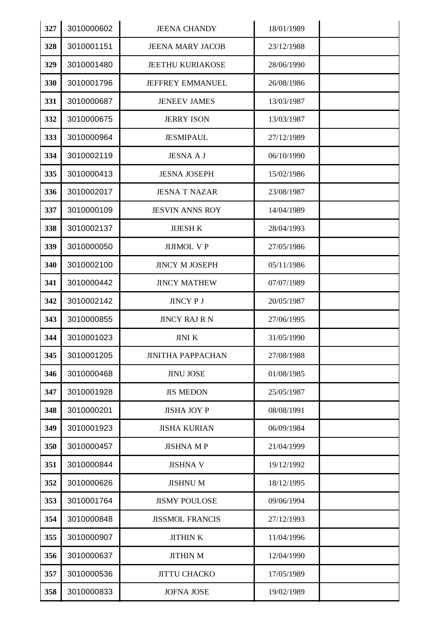| 327 | 3010000602 | <b>JEENA CHANDY</b>      | 18/01/1989 |  |
|-----|------------|--------------------------|------------|--|
| 328 | 3010001151 | <b>JEENA MARY JACOB</b>  | 23/12/1988 |  |
| 329 | 3010001480 | <b>JEETHU KURIAKOSE</b>  | 28/06/1990 |  |
| 330 | 3010001796 | JEFFREY EMMANUEL         | 26/08/1986 |  |
| 331 | 3010000687 | <b>JENEEV JAMES</b>      | 13/03/1987 |  |
| 332 | 3010000675 | <b>JERRY ISON</b>        | 13/03/1987 |  |
| 333 | 3010000964 | <b>JESMIPAUL</b>         | 27/12/1989 |  |
| 334 | 3010002119 | <b>JESNA A J</b>         | 06/10/1990 |  |
| 335 | 3010000413 | <b>JESNA JOSEPH</b>      | 15/02/1986 |  |
| 336 | 3010002017 | <b>JESNA T NAZAR</b>     | 23/08/1987 |  |
| 337 | 3010000109 | <b>JESVIN ANNS ROY</b>   | 14/04/1989 |  |
| 338 | 3010002137 | <b>JIJESH K</b>          | 28/04/1993 |  |
| 339 | 3010000050 | <b>JIJIMOL V P</b>       | 27/05/1986 |  |
| 340 | 3010002100 | <b>JINCY M JOSEPH</b>    | 05/11/1986 |  |
| 341 | 3010000442 | <b>JINCY MATHEW</b>      | 07/07/1989 |  |
| 342 | 3010002142 | JINCY P J                | 20/05/1987 |  |
| 343 | 3010000855 | <b>JINCY RAJ R N</b>     | 27/06/1995 |  |
| 344 | 3010001023 | <b>JINI K</b>            | 31/05/1990 |  |
| 345 | 3010001205 | <b>JINITHA PAPPACHAN</b> | 27/08/1988 |  |
| 346 | 3010000468 | <b>JINU JOSE</b>         | 01/08/1985 |  |
| 347 | 3010001928 | <b>JIS MEDON</b>         | 25/05/1987 |  |
| 348 | 3010000201 | <b>JISHA JOY P</b>       | 08/08/1991 |  |
| 349 | 3010001923 | <b>JISHA KURIAN</b>      | 06/09/1984 |  |
| 350 | 3010000457 | <b>JISHNA MP</b>         | 21/04/1999 |  |
| 351 | 3010000844 | <b>JISHNA V</b>          | 19/12/1992 |  |
| 352 | 3010000626 | <b>JISHNUM</b>           | 18/12/1995 |  |
| 353 | 3010001764 | <b>JISMY POULOSE</b>     | 09/06/1994 |  |
| 354 | 3010000848 | <b>JISSMOL FRANCIS</b>   | 27/12/1993 |  |
| 355 | 3010000907 | <b>JITHINK</b>           | 11/04/1996 |  |
| 356 | 3010000637 | <b>JITHIN M</b>          | 12/04/1990 |  |
| 357 | 3010000536 | <b>JITTU CHACKO</b>      | 17/05/1989 |  |
| 358 | 3010000833 | <b>JOFNA JOSE</b>        | 19/02/1989 |  |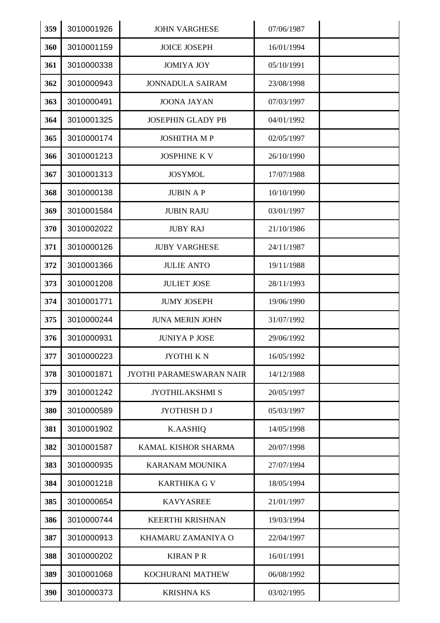| 359 | 3010001926 | <b>JOHN VARGHESE</b>     | 07/06/1987 |  |
|-----|------------|--------------------------|------------|--|
| 360 | 3010001159 | <b>JOICE JOSEPH</b>      | 16/01/1994 |  |
| 361 | 3010000338 | <b>JOMIYA JOY</b>        | 05/10/1991 |  |
| 362 | 3010000943 | <b>JONNADULA SAIRAM</b>  | 23/08/1998 |  |
| 363 | 3010000491 | <b>JOONA JAYAN</b>       | 07/03/1997 |  |
| 364 | 3010001325 | <b>JOSEPHIN GLADY PB</b> | 04/01/1992 |  |
| 365 | 3010000174 | <b>JOSHITHA MP</b>       | 02/05/1997 |  |
| 366 | 3010001213 | <b>JOSPHINE KV</b>       | 26/10/1990 |  |
| 367 | 3010001313 | <b>JOSYMOL</b>           | 17/07/1988 |  |
| 368 | 3010000138 | <b>JUBIN AP</b>          | 10/10/1990 |  |
| 369 | 3010001584 | <b>JUBIN RAJU</b>        | 03/01/1997 |  |
| 370 | 3010002022 | <b>JUBY RAJ</b>          | 21/10/1986 |  |
| 371 | 3010000126 | <b>JUBY VARGHESE</b>     | 24/11/1987 |  |
| 372 | 3010001366 | <b>JULIE ANTO</b>        | 19/11/1988 |  |
| 373 | 3010001208 | <b>JULIET JOSE</b>       | 28/11/1993 |  |
| 374 | 3010001771 | <b>JUMY JOSEPH</b>       | 19/06/1990 |  |
| 375 | 3010000244 | <b>JUNA MERIN JOHN</b>   | 31/07/1992 |  |
| 376 | 3010000931 | <b>JUNIYA P JOSE</b>     | 29/06/1992 |  |
| 377 | 3010000223 | JYOTHI KN                | 16/05/1992 |  |
| 378 | 3010001871 | JYOTHI PARAMESWARAN NAIR | 14/12/1988 |  |
| 379 | 3010001242 | <b>JYOTHILAKSHMI S</b>   | 20/05/1997 |  |
| 380 | 3010000589 | JYOTHISH D J             | 05/03/1997 |  |
| 381 | 3010001902 | <b>K.AASHIQ</b>          | 14/05/1998 |  |
| 382 | 3010001587 | KAMAL KISHOR SHARMA      | 20/07/1998 |  |
| 383 | 3010000935 | <b>KARANAM MOUNIKA</b>   | 27/07/1994 |  |
| 384 | 3010001218 | <b>KARTHIKA G V</b>      | 18/05/1994 |  |
| 385 | 3010000654 | <b>KAVYASREE</b>         | 21/01/1997 |  |
| 386 | 3010000744 | <b>KEERTHI KRISHNAN</b>  | 19/03/1994 |  |
| 387 | 3010000913 | KHAMARU ZAMANIYA O       | 22/04/1997 |  |
| 388 | 3010000202 | <b>KIRAN P R</b>         | 16/01/1991 |  |
| 389 | 3010001068 | KOCHURANI MATHEW         | 06/08/1992 |  |
| 390 | 3010000373 | <b>KRISHNA KS</b>        | 03/02/1995 |  |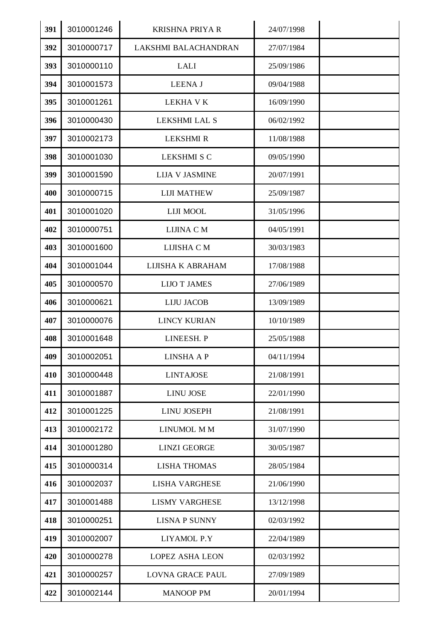| 391 | 3010001246 | <b>KRISHNA PRIYA R</b>  | 24/07/1998 |  |
|-----|------------|-------------------------|------------|--|
| 392 | 3010000717 | LAKSHMI BALACHANDRAN    | 27/07/1984 |  |
| 393 | 3010000110 | <b>LALI</b>             | 25/09/1986 |  |
| 394 | 3010001573 | <b>LEENAJ</b>           | 09/04/1988 |  |
| 395 | 3010001261 | <b>LEKHA V K</b>        | 16/09/1990 |  |
| 396 | 3010000430 | LEKSHMI LAL S           | 06/02/1992 |  |
| 397 | 3010002173 | <b>LEKSHMI R</b>        | 11/08/1988 |  |
| 398 | 3010001030 | <b>LEKSHMI S C</b>      | 09/05/1990 |  |
| 399 | 3010001590 | <b>LIJA V JASMINE</b>   | 20/07/1991 |  |
| 400 | 3010000715 | <b>LIJI MATHEW</b>      | 25/09/1987 |  |
| 401 | 3010001020 | LIJI MOOL               | 31/05/1996 |  |
| 402 | 3010000751 | LIJINA C M              | 04/05/1991 |  |
| 403 | 3010001600 | LIJISHA C M             | 30/03/1983 |  |
| 404 | 3010001044 | LIJISHA K ABRAHAM       | 17/08/1988 |  |
| 405 | 3010000570 | <b>LIJO T JAMES</b>     | 27/06/1989 |  |
| 406 | 3010000621 | <b>LIJU JACOB</b>       | 13/09/1989 |  |
| 407 | 3010000076 | <b>LINCY KURIAN</b>     | 10/10/1989 |  |
| 408 | 3010001648 | LINEESH. P              | 25/05/1988 |  |
| 409 | 3010002051 | <b>LINSHA A P</b>       | 04/11/1994 |  |
| 410 | 3010000448 | <b>LINTAJOSE</b>        | 21/08/1991 |  |
| 411 | 3010001887 | <b>LINU JOSE</b>        | 22/01/1990 |  |
| 412 | 3010001225 | <b>LINU JOSEPH</b>      | 21/08/1991 |  |
| 413 | 3010002172 | LINUMOL M M             | 31/07/1990 |  |
| 414 | 3010001280 | <b>LINZI GEORGE</b>     | 30/05/1987 |  |
| 415 | 3010000314 | <b>LISHA THOMAS</b>     | 28/05/1984 |  |
| 416 | 3010002037 | <b>LISHA VARGHESE</b>   | 21/06/1990 |  |
| 417 | 3010001488 | <b>LISMY VARGHESE</b>   | 13/12/1998 |  |
| 418 | 3010000251 | <b>LISNA P SUNNY</b>    | 02/03/1992 |  |
| 419 | 3010002007 | LIYAMOL P.Y             | 22/04/1989 |  |
| 420 | 3010000278 | <b>LOPEZ ASHA LEON</b>  | 02/03/1992 |  |
| 421 | 3010000257 | <b>LOVNA GRACE PAUL</b> | 27/09/1989 |  |
| 422 | 3010002144 | <b>MANOOP PM</b>        | 20/01/1994 |  |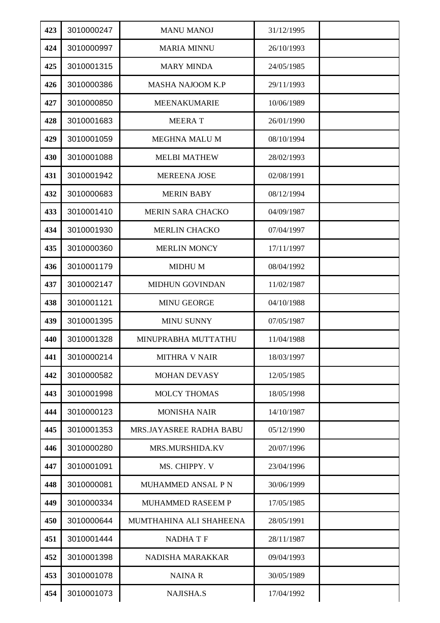| 423 | 3010000247 | <b>MANU MANOJ</b>         | 31/12/1995 |  |
|-----|------------|---------------------------|------------|--|
| 424 | 3010000997 | <b>MARIA MINNU</b>        | 26/10/1993 |  |
| 425 | 3010001315 | <b>MARY MINDA</b>         | 24/05/1985 |  |
| 426 | 3010000386 | <b>MASHA NAJOOM K.P</b>   | 29/11/1993 |  |
| 427 | 3010000850 | MEENAKUMARIE              | 10/06/1989 |  |
| 428 | 3010001683 | <b>MEERAT</b>             | 26/01/1990 |  |
| 429 | 3010001059 | MEGHNA MALU M             | 08/10/1994 |  |
| 430 | 3010001088 | <b>MELBI MATHEW</b>       | 28/02/1993 |  |
| 431 | 3010001942 | <b>MEREENA JOSE</b>       | 02/08/1991 |  |
| 432 | 3010000683 | <b>MERIN BABY</b>         | 08/12/1994 |  |
| 433 | 3010001410 | MERIN SARA CHACKO         | 04/09/1987 |  |
| 434 | 3010001930 | <b>MERLIN CHACKO</b>      | 07/04/1997 |  |
| 435 | 3010000360 | <b>MERLIN MONCY</b>       | 17/11/1997 |  |
| 436 | 3010001179 | <b>MIDHUM</b>             | 08/04/1992 |  |
| 437 | 3010002147 | <b>MIDHUN GOVINDAN</b>    | 11/02/1987 |  |
| 438 | 3010001121 | <b>MINU GEORGE</b>        | 04/10/1988 |  |
| 439 | 3010001395 | <b>MINU SUNNY</b>         | 07/05/1987 |  |
| 440 | 3010001328 | MINUPRABHA MUTTATHU       | 11/04/1988 |  |
| 441 | 3010000214 | <b>MITHRA V NAIR</b>      | 18/03/1997 |  |
| 442 | 3010000582 | <b>MOHAN DEVASY</b>       | 12/05/1985 |  |
| 443 | 3010001998 | <b>MOLCY THOMAS</b>       | 18/05/1998 |  |
| 444 | 3010000123 | <b>MONISHA NAIR</b>       | 14/10/1987 |  |
| 445 | 3010001353 | MRS.JAYASREE RADHA BABU   | 05/12/1990 |  |
| 446 | 3010000280 | MRS.MURSHIDA.KV           | 20/07/1996 |  |
| 447 | 3010001091 | MS. CHIPPY. V             | 23/04/1996 |  |
| 448 | 3010000081 | <b>MUHAMMED ANSAL P N</b> | 30/06/1999 |  |
| 449 | 3010000334 | <b>MUHAMMED RASEEM P</b>  | 17/05/1985 |  |
| 450 | 3010000644 | MUMTHAHINA ALI SHAHEENA   | 28/05/1991 |  |
| 451 | 3010001444 | NADHA T F                 | 28/11/1987 |  |
| 452 | 3010001398 | NADISHA MARAKKAR          | 09/04/1993 |  |
| 453 | 3010001078 | <b>NAINAR</b>             | 30/05/1989 |  |
| 454 | 3010001073 | NAJISHA.S                 | 17/04/1992 |  |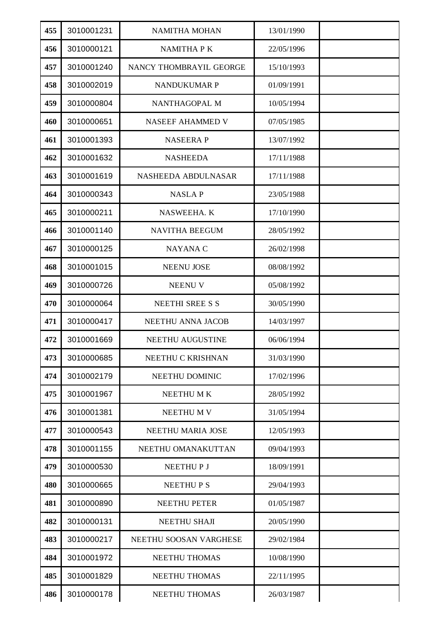| 455 | 3010001231 | <b>NAMITHA MOHAN</b>    | 13/01/1990 |  |
|-----|------------|-------------------------|------------|--|
| 456 | 3010000121 | <b>NAMITHA PK</b>       | 22/05/1996 |  |
| 457 | 3010001240 | NANCY THOMBRAYIL GEORGE | 15/10/1993 |  |
| 458 | 3010002019 | <b>NANDUKUMAR P</b>     | 01/09/1991 |  |
| 459 | 3010000804 | NANTHAGOPAL M           | 10/05/1994 |  |
| 460 | 3010000651 | NASEEF AHAMMED V        | 07/05/1985 |  |
| 461 | 3010001393 | <b>NASEERAP</b>         | 13/07/1992 |  |
| 462 | 3010001632 | <b>NASHEEDA</b>         | 17/11/1988 |  |
| 463 | 3010001619 | NASHEEDA ABDULNASAR     | 17/11/1988 |  |
| 464 | 3010000343 | <b>NASLAP</b>           | 23/05/1988 |  |
| 465 | 3010000211 | NASWEEHA. K             | 17/10/1990 |  |
| 466 | 3010001140 | <b>NAVITHA BEEGUM</b>   | 28/05/1992 |  |
| 467 | 3010000125 | <b>NAYANA C</b>         | 26/02/1998 |  |
| 468 | 3010001015 | <b>NEENU JOSE</b>       | 08/08/1992 |  |
| 469 | 3010000726 | <b>NEENUV</b>           | 05/08/1992 |  |
| 470 | 3010000064 | <b>NEETHI SREE S S</b>  | 30/05/1990 |  |
| 471 | 3010000417 | NEETHU ANNA JACOB       | 14/03/1997 |  |
| 472 | 3010001669 | <b>NEETHU AUGUSTINE</b> | 06/06/1994 |  |
| 473 | 3010000685 | NEETHU C KRISHNAN       | 31/03/1990 |  |
| 474 | 3010002179 | NEETHU DOMINIC          | 17/02/1996 |  |
| 475 | 3010001967 | <b>NEETHUMK</b>         | 28/05/1992 |  |
| 476 | 3010001381 | NEETHU M V              | 31/05/1994 |  |
| 477 | 3010000543 | NEETHU MARIA JOSE       | 12/05/1993 |  |
| 478 | 3010001155 | NEETHU OMANAKUTTAN      | 09/04/1993 |  |
| 479 | 3010000530 | <b>NEETHUPJ</b>         | 18/09/1991 |  |
| 480 | 3010000665 | <b>NEETHUPS</b>         | 29/04/1993 |  |
| 481 | 3010000890 | <b>NEETHU PETER</b>     | 01/05/1987 |  |
| 482 | 3010000131 | NEETHU SHAJI            | 20/05/1990 |  |
| 483 | 3010000217 | NEETHU SOOSAN VARGHESE  | 29/02/1984 |  |
| 484 | 3010001972 | NEETHU THOMAS           | 10/08/1990 |  |
| 485 | 3010001829 | NEETHU THOMAS           | 22/11/1995 |  |
| 486 | 3010000178 | NEETHU THOMAS           | 26/03/1987 |  |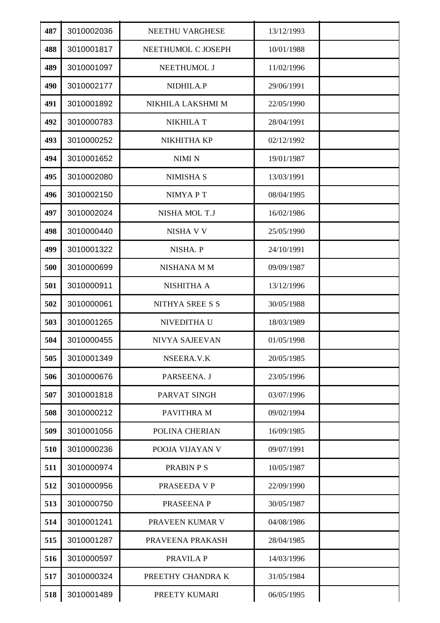| 487 | 3010002036 | NEETHU VARGHESE       | 13/12/1993 |  |
|-----|------------|-----------------------|------------|--|
| 488 | 3010001817 | NEETHUMOL C JOSEPH    | 10/01/1988 |  |
| 489 | 3010001097 | NEETHUMOL J           | 11/02/1996 |  |
| 490 | 3010002177 | NIDHILA.P             | 29/06/1991 |  |
| 491 | 3010001892 | NIKHILA LAKSHMI M     | 22/05/1990 |  |
| 492 | 3010000783 | <b>NIKHILA T</b>      | 28/04/1991 |  |
| 493 | 3010000252 | NIKHITHA KP           | 02/12/1992 |  |
| 494 | 3010001652 | NIMI N                | 19/01/1987 |  |
| 495 | 3010002080 | <b>NIMISHA S</b>      | 13/03/1991 |  |
| 496 | 3010002150 | <b>NIMYAPT</b>        | 08/04/1995 |  |
| 497 | 3010002024 | NISHA MOL T.J         | 16/02/1986 |  |
| 498 | 3010000440 | <b>NISHA V V</b>      | 25/05/1990 |  |
| 499 | 3010001322 | NISHA. P              | 24/10/1991 |  |
| 500 | 3010000699 | <b>NISHANA M M</b>    | 09/09/1987 |  |
| 501 | 3010000911 | NISHITHA A            | 13/12/1996 |  |
| 502 | 3010000061 | NITHYA SREE S S       | 30/05/1988 |  |
| 503 | 3010001265 | NIVEDITHA U           | 18/03/1989 |  |
| 504 | 3010000455 | <b>NIVYA SAJEEVAN</b> | 01/05/1998 |  |
| 505 | 3010001349 | NSEERA.V.K            | 20/05/1985 |  |
| 506 | 3010000676 | PARSEENA. J           | 23/05/1996 |  |
| 507 | 3010001818 | PARVAT SINGH          | 03/07/1996 |  |
| 508 | 3010000212 | PAVITHRA M            | 09/02/1994 |  |
| 509 | 3010001056 | POLINA CHERIAN        | 16/09/1985 |  |
| 510 | 3010000236 | POOJA VIJAYAN V       | 09/07/1991 |  |
| 511 | 3010000974 | <b>PRABIN PS</b>      | 10/05/1987 |  |
| 512 | 3010000956 | PRASEEDA V P          | 22/09/1990 |  |
| 513 | 3010000750 | PRASEENA P            | 30/05/1987 |  |
| 514 | 3010001241 | PRAVEEN KUMAR V       | 04/08/1986 |  |
| 515 | 3010001287 | PRAVEENA PRAKASH      | 28/04/1985 |  |
| 516 | 3010000597 | PRAVILA P             | 14/03/1996 |  |
| 517 | 3010000324 | PREETHY CHANDRA K     | 31/05/1984 |  |
| 518 | 3010001489 | PREETY KUMARI         | 06/05/1995 |  |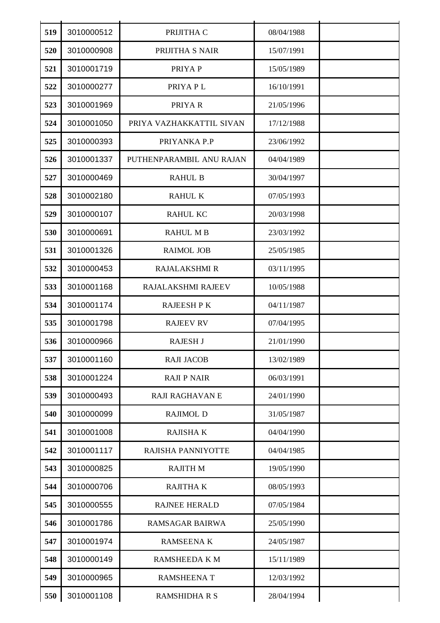| 519 | 3010000512 | PRIJITHA C               | 08/04/1988 |  |
|-----|------------|--------------------------|------------|--|
| 520 | 3010000908 | PRIJITHA S NAIR          | 15/07/1991 |  |
| 521 | 3010001719 | PRIYA P                  | 15/05/1989 |  |
| 522 | 3010000277 | PRIYA PL                 | 16/10/1991 |  |
| 523 | 3010001969 | PRIYA R                  | 21/05/1996 |  |
| 524 | 3010001050 | PRIYA VAZHAKKATTIL SIVAN | 17/12/1988 |  |
| 525 | 3010000393 | PRIYANKA P.P             | 23/06/1992 |  |
| 526 | 3010001337 | PUTHENPARAMBIL ANU RAJAN | 04/04/1989 |  |
| 527 | 3010000469 | <b>RAHUL B</b>           | 30/04/1997 |  |
| 528 | 3010002180 | <b>RAHUL K</b>           | 07/05/1993 |  |
| 529 | 3010000107 | <b>RAHUL KC</b>          | 20/03/1998 |  |
| 530 | 3010000691 | <b>RAHUL MB</b>          | 23/03/1992 |  |
| 531 | 3010001326 | <b>RAIMOL JOB</b>        | 25/05/1985 |  |
| 532 | 3010000453 | <b>RAJALAKSHMI R</b>     | 03/11/1995 |  |
| 533 | 3010001168 | RAJALAKSHMI RAJEEV       | 10/05/1988 |  |
| 534 | 3010001174 | <b>RAJEESH P K</b>       | 04/11/1987 |  |
| 535 | 3010001798 | <b>RAJEEV RV</b>         | 07/04/1995 |  |
| 536 | 3010000966 | <b>RAJESH J</b>          | 21/01/1990 |  |
| 537 | 3010001160 | <b>RAJI JACOB</b>        | 13/02/1989 |  |
| 538 | 3010001224 | <b>RAJI P NAIR</b>       | 06/03/1991 |  |
| 539 | 3010000493 | <b>RAJI RAGHAVAN E</b>   | 24/01/1990 |  |
| 540 | 3010000099 | <b>RAJIMOL D</b>         | 31/05/1987 |  |
| 541 | 3010001008 | RAJISHA K                | 04/04/1990 |  |
| 542 | 3010001117 | RAJISHA PANNIYOTTE       | 04/04/1985 |  |
| 543 | 3010000825 | <b>RAJITH M</b>          | 19/05/1990 |  |
| 544 | 3010000706 | RAJITHA K                | 08/05/1993 |  |
| 545 | 3010000555 | <b>RAJNEE HERALD</b>     | 07/05/1984 |  |
| 546 | 3010001786 | RAMSAGAR BAIRWA          | 25/05/1990 |  |
| 547 | 3010001974 | <b>RAMSEENAK</b>         | 24/05/1987 |  |
| 548 | 3010000149 | RAMSHEEDA K M            | 15/11/1989 |  |
| 549 | 3010000965 | <b>RAMSHEENAT</b>        | 12/03/1992 |  |
| 550 | 3010001108 | <b>RAMSHIDHA R S</b>     | 28/04/1994 |  |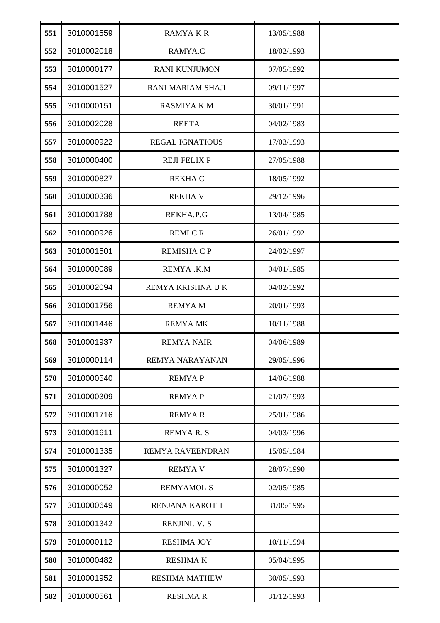| 551 | 3010001559 | <b>RAMYAKR</b>         | 13/05/1988 |  |
|-----|------------|------------------------|------------|--|
| 552 | 3010002018 | RAMYA.C                | 18/02/1993 |  |
| 553 | 3010000177 | <b>RANI KUNJUMON</b>   | 07/05/1992 |  |
| 554 | 3010001527 | RANI MARIAM SHAJI      | 09/11/1997 |  |
| 555 | 3010000151 | <b>RASMIYA K M</b>     | 30/01/1991 |  |
| 556 | 3010002028 | <b>REETA</b>           | 04/02/1983 |  |
| 557 | 3010000922 | <b>REGAL IGNATIOUS</b> | 17/03/1993 |  |
| 558 | 3010000400 | <b>REJI FELIX P</b>    | 27/05/1988 |  |
| 559 | 3010000827 | <b>REKHA C</b>         | 18/05/1992 |  |
| 560 | 3010000336 | <b>REKHA V</b>         | 29/12/1996 |  |
| 561 | 3010001788 | REKHA.P.G              | 13/04/1985 |  |
| 562 | 3010000926 | <b>REMI CR</b>         | 26/01/1992 |  |
| 563 | 3010001501 | <b>REMISHA C P</b>     | 24/02/1997 |  |
| 564 | 3010000089 | REMYA.K.M              | 04/01/1985 |  |
| 565 | 3010002094 | REMYA KRISHNA U K      | 04/02/1992 |  |
| 566 | 3010001756 | <b>REMYAM</b>          | 20/01/1993 |  |
| 567 | 3010001446 | <b>REMYA MK</b>        | 10/11/1988 |  |
| 568 | 3010001937 | <b>REMYA NAIR</b>      | 04/06/1989 |  |
| 569 | 3010000114 | REMYA NARAYANAN        | 29/05/1996 |  |
| 570 | 3010000540 | <b>REMYAP</b>          | 14/06/1988 |  |
| 571 | 3010000309 | <b>REMYAP</b>          | 21/07/1993 |  |
| 572 | 3010001716 | <b>REMYAR</b>          | 25/01/1986 |  |
| 573 | 3010001611 | <b>REMYAR.S</b>        | 04/03/1996 |  |
| 574 | 3010001335 | REMYA RAVEENDRAN       | 15/05/1984 |  |
| 575 | 3010001327 | <b>REMYA V</b>         | 28/07/1990 |  |
| 576 | 3010000052 | <b>REMYAMOL S</b>      | 02/05/1985 |  |
| 577 | 3010000649 | RENJANA KAROTH         | 31/05/1995 |  |
| 578 | 3010001342 | RENJINI. V. S          |            |  |
| 579 | 3010000112 | <b>RESHMA JOY</b>      | 10/11/1994 |  |
| 580 | 3010000482 | <b>RESHMAK</b>         | 05/04/1995 |  |
| 581 | 3010001952 | <b>RESHMA MATHEW</b>   | 30/05/1993 |  |
| 582 | 3010000561 | <b>RESHMAR</b>         | 31/12/1993 |  |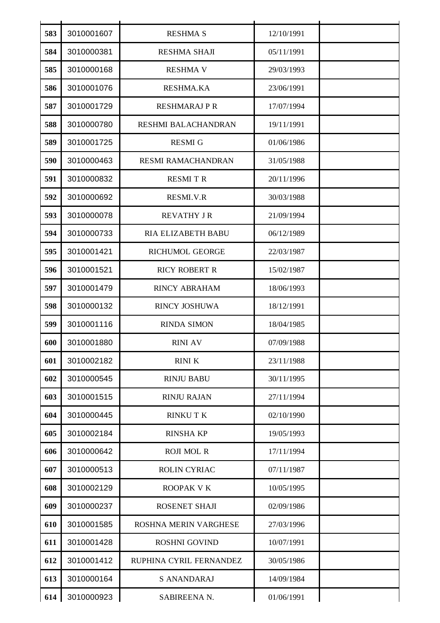| 583 | 3010001607 | <b>RESHMA S</b>            | 12/10/1991 |  |
|-----|------------|----------------------------|------------|--|
| 584 | 3010000381 | RESHMA SHAJI               | 05/11/1991 |  |
| 585 | 3010000168 | <b>RESHMA V</b>            | 29/03/1993 |  |
| 586 | 3010001076 | <b>RESHMA.KA</b>           | 23/06/1991 |  |
| 587 | 3010001729 | <b>RESHMARAJ P R</b>       | 17/07/1994 |  |
| 588 | 3010000780 | <b>RESHMI BALACHANDRAN</b> | 19/11/1991 |  |
| 589 | 3010001725 | <b>RESMIG</b>              | 01/06/1986 |  |
| 590 | 3010000463 | <b>RESMI RAMACHANDRAN</b>  | 31/05/1988 |  |
| 591 | 3010000832 | <b>RESMITR</b>             | 20/11/1996 |  |
| 592 | 3010000692 | RESMI.V.R                  | 30/03/1988 |  |
| 593 | 3010000078 | <b>REVATHY JR</b>          | 21/09/1994 |  |
| 594 | 3010000733 | RIA ELIZABETH BABU         | 06/12/1989 |  |
| 595 | 3010001421 | RICHUMOL GEORGE            | 22/03/1987 |  |
| 596 | 3010001521 | <b>RICY ROBERT R</b>       | 15/02/1987 |  |
| 597 | 3010001479 | <b>RINCY ABRAHAM</b>       | 18/06/1993 |  |
| 598 | 3010000132 | <b>RINCY JOSHUWA</b>       | 18/12/1991 |  |
| 599 | 3010001116 | <b>RINDA SIMON</b>         | 18/04/1985 |  |
| 600 | 3010001880 | <b>RINI AV</b>             | 07/09/1988 |  |
| 601 | 3010002182 | <b>RINIK</b>               | 23/11/1988 |  |
| 602 | 3010000545 | <b>RINJU BABU</b>          | 30/11/1995 |  |
| 603 | 3010001515 | <b>RINJU RAJAN</b>         | 27/11/1994 |  |
| 604 | 3010000445 | <b>RINKUTK</b>             | 02/10/1990 |  |
| 605 | 3010002184 | <b>RINSHA KP</b>           | 19/05/1993 |  |
| 606 | 3010000642 | <b>ROJI MOL R</b>          | 17/11/1994 |  |
| 607 | 3010000513 | <b>ROLIN CYRIAC</b>        | 07/11/1987 |  |
| 608 | 3010002129 | ROOPAK V K                 | 10/05/1995 |  |
| 609 | 3010000237 | ROSENET SHAJI              | 02/09/1986 |  |
| 610 | 3010001585 | ROSHNA MERIN VARGHESE      | 27/03/1996 |  |
| 611 | 3010001428 | <b>ROSHNI GOVIND</b>       | 10/07/1991 |  |
| 612 | 3010001412 | RUPHINA CYRIL FERNANDEZ    | 30/05/1986 |  |
| 613 | 3010000164 | <b>S ANANDARAJ</b>         | 14/09/1984 |  |
| 614 | 3010000923 | SABIREENA N.               | 01/06/1991 |  |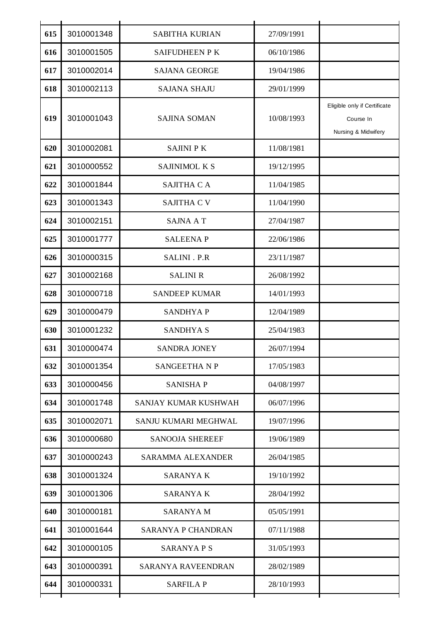| 615 | 3010001348 | <b>SABITHA KURIAN</b>     | 27/09/1991 |                                                                  |
|-----|------------|---------------------------|------------|------------------------------------------------------------------|
| 616 | 3010001505 | SAIFUDHEEN P K            | 06/10/1986 |                                                                  |
| 617 | 3010002014 | <b>SAJANA GEORGE</b>      | 19/04/1986 |                                                                  |
| 618 | 3010002113 | <b>SAJANA SHAJU</b>       | 29/01/1999 |                                                                  |
| 619 | 3010001043 | <b>SAJINA SOMAN</b>       | 10/08/1993 | Eligible only if Certificate<br>Course In<br>Nursing & Midwifery |
| 620 | 3010002081 | <b>SAJINI PK</b>          | 11/08/1981 |                                                                  |
| 621 | 3010000552 | SAJINIMOL K S             | 19/12/1995 |                                                                  |
| 622 | 3010001844 | SAJITHA CA                | 11/04/1985 |                                                                  |
| 623 | 3010001343 | SAJITHA C V               | 11/04/1990 |                                                                  |
| 624 | 3010002151 | SAJNA A T                 | 27/04/1987 |                                                                  |
| 625 | 3010001777 | <b>SALEENAP</b>           | 22/06/1986 |                                                                  |
| 626 | 3010000315 | SALINI . P.R              | 23/11/1987 |                                                                  |
| 627 | 3010002168 | <b>SALINI R</b>           | 26/08/1992 |                                                                  |
| 628 | 3010000718 | <b>SANDEEP KUMAR</b>      | 14/01/1993 |                                                                  |
| 629 | 3010000479 | <b>SANDHYAP</b>           | 12/04/1989 |                                                                  |
| 630 | 3010001232 | <b>SANDHYA S</b>          | 25/04/1983 |                                                                  |
| 631 | 3010000474 | <b>SANDRA JONEY</b>       | 26/07/1994 |                                                                  |
| 632 | 3010001354 | <b>SANGEETHANP</b>        | 17/05/1983 |                                                                  |
| 633 | 3010000456 | <b>SANISHAP</b>           | 04/08/1997 |                                                                  |
| 634 | 3010001748 | SANJAY KUMAR KUSHWAH      | 06/07/1996 |                                                                  |
| 635 | 3010002071 | SANJU KUMARI MEGHWAL      | 19/07/1996 |                                                                  |
| 636 | 3010000680 | <b>SANOOJA SHEREEF</b>    | 19/06/1989 |                                                                  |
| 637 | 3010000243 | <b>SARAMMA ALEXANDER</b>  | 26/04/1985 |                                                                  |
| 638 | 3010001324 | <b>SARANYAK</b>           | 19/10/1992 |                                                                  |
| 639 | 3010001306 | <b>SARANYA K</b>          | 28/04/1992 |                                                                  |
| 640 | 3010000181 | <b>SARANYA M</b>          | 05/05/1991 |                                                                  |
| 641 | 3010001644 | SARANYA P CHANDRAN        | 07/11/1988 |                                                                  |
| 642 | 3010000105 | <b>SARANYAPS</b>          | 31/05/1993 |                                                                  |
| 643 | 3010000391 | <b>SARANYA RAVEENDRAN</b> | 28/02/1989 |                                                                  |
| 644 | 3010000331 | <b>SARFILA P</b>          | 28/10/1993 |                                                                  |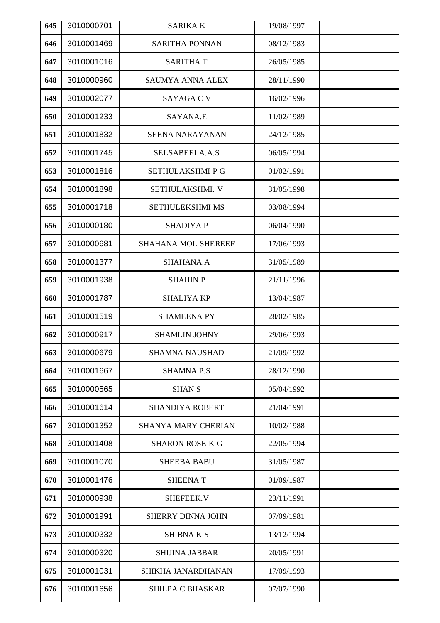| 645 | 3010000701 | <b>SARIKA K</b>            | 19/08/1997 |  |
|-----|------------|----------------------------|------------|--|
| 646 | 3010001469 | <b>SARITHA PONNAN</b>      | 08/12/1983 |  |
| 647 | 3010001016 | <b>SARITHAT</b>            | 26/05/1985 |  |
| 648 | 3010000960 | <b>SAUMYA ANNA ALEX</b>    | 28/11/1990 |  |
| 649 | 3010002077 | <b>SAYAGA C V</b>          | 16/02/1996 |  |
| 650 | 3010001233 | SAYANA.E                   | 11/02/1989 |  |
| 651 | 3010001832 | <b>SEENA NARAYANAN</b>     | 24/12/1985 |  |
| 652 | 3010001745 | SELSABEELA.A.S             | 06/05/1994 |  |
| 653 | 3010001816 | SETHULAKSHMI P G           | 01/02/1991 |  |
| 654 | 3010001898 | SETHULAKSHMI. V            | 31/05/1998 |  |
| 655 | 3010001718 | SETHULEKSHMI MS            | 03/08/1994 |  |
| 656 | 3010000180 | <b>SHADIYA P</b>           | 06/04/1990 |  |
| 657 | 3010000681 | SHAHANA MOL SHEREEF        | 17/06/1993 |  |
| 658 | 3010001377 | SHAHANA.A                  | 31/05/1989 |  |
| 659 | 3010001938 | <b>SHAHIN P</b>            | 21/11/1996 |  |
| 660 | 3010001787 | <b>SHALIYA KP</b>          | 13/04/1987 |  |
| 661 | 3010001519 | <b>SHAMEENA PY</b>         | 28/02/1985 |  |
| 662 | 3010000917 | <b>SHAMLIN JOHNY</b>       | 29/06/1993 |  |
| 663 | 3010000679 | <b>SHAMNA NAUSHAD</b>      | 21/09/1992 |  |
| 664 | 3010001667 | <b>SHAMNA P.S</b>          | 28/12/1990 |  |
| 665 | 3010000565 | <b>SHAN S</b>              | 05/04/1992 |  |
| 666 | 3010001614 | <b>SHANDIYA ROBERT</b>     | 21/04/1991 |  |
| 667 | 3010001352 | <b>SHANYA MARY CHERIAN</b> | 10/02/1988 |  |
| 668 | 3010001408 | <b>SHARON ROSE K G</b>     | 22/05/1994 |  |
| 669 | 3010001070 | <b>SHEEBA BABU</b>         | 31/05/1987 |  |
| 670 | 3010001476 | <b>SHEENAT</b>             | 01/09/1987 |  |
| 671 | 3010000938 | SHEFEEK.V                  | 23/11/1991 |  |
| 672 | 3010001991 | <b>SHERRY DINNA JOHN</b>   | 07/09/1981 |  |
| 673 | 3010000332 | <b>SHIBNAKS</b>            | 13/12/1994 |  |
| 674 | 3010000320 | <b>SHIJINA JABBAR</b>      | 20/05/1991 |  |
| 675 | 3010001031 | SHIKHA JANARDHANAN         | 17/09/1993 |  |
| 676 | 3010001656 | <b>SHILPA C BHASKAR</b>    | 07/07/1990 |  |
|     |            |                            |            |  |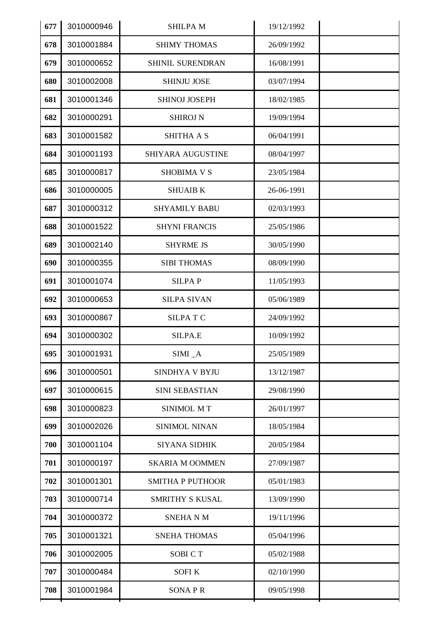| 677 | 3010000946 | <b>SHILPAM</b>          | 19/12/1992 |  |
|-----|------------|-------------------------|------------|--|
| 678 | 3010001884 | <b>SHIMY THOMAS</b>     | 26/09/1992 |  |
| 679 | 3010000652 | SHINIL SURENDRAN        | 16/08/1991 |  |
| 680 | 3010002008 | <b>SHINJU JOSE</b>      | 03/07/1994 |  |
| 681 | 3010001346 | <b>SHINOJ JOSEPH</b>    | 18/02/1985 |  |
| 682 | 3010000291 | <b>SHIROJ N</b>         | 19/09/1994 |  |
| 683 | 3010001582 | <b>SHITHA A S</b>       | 06/04/1991 |  |
| 684 | 3010001193 | SHIYARA AUGUSTINE       | 08/04/1997 |  |
| 685 | 3010000817 | <b>SHOBIMA V S</b>      | 23/05/1984 |  |
| 686 | 3010000005 | <b>SHUAIB K</b>         | 26-06-1991 |  |
| 687 | 3010000312 | <b>SHYAMILY BABU</b>    | 02/03/1993 |  |
| 688 | 3010001522 | <b>SHYNI FRANCIS</b>    | 25/05/1986 |  |
| 689 | 3010002140 | <b>SHYRME JS</b>        | 30/05/1990 |  |
| 690 | 3010000355 | <b>SIBI THOMAS</b>      | 08/09/1990 |  |
| 691 | 3010001074 | <b>SILPAP</b>           | 11/05/1993 |  |
| 692 | 3010000653 | <b>SILPA SIVAN</b>      | 05/06/1989 |  |
| 693 | 3010000867 | <b>SILPATC</b>          | 24/09/1992 |  |
| 694 | 3010000302 | SILPA.E                 | 10/09/1992 |  |
| 695 | 3010001931 | SIMI_A                  | 25/05/1989 |  |
| 696 | 3010000501 | SINDHYA V BYJU          | 13/12/1987 |  |
| 697 | 3010000615 | SINI SEBASTIAN          | 29/08/1990 |  |
| 698 | 3010000823 | SINIMOL MT              | 26/01/1997 |  |
| 699 | 3010002026 | SINIMOL NINAN           | 18/05/1984 |  |
| 700 | 3010001104 | SIYANA SIDHIK           | 20/05/1984 |  |
| 701 | 3010000197 | <b>SKARIA M OOMMEN</b>  | 27/09/1987 |  |
| 702 | 3010001301 | <b>SMITHA P PUTHOOR</b> | 05/01/1983 |  |
| 703 | 3010000714 | <b>SMRITHY S KUSAL</b>  | 13/09/1990 |  |
| 704 | 3010000372 | <b>SNEHANM</b>          | 19/11/1996 |  |
| 705 | 3010001321 | <b>SNEHA THOMAS</b>     | 05/04/1996 |  |
| 706 | 3010002005 | <b>SOBI CT</b>          | 05/02/1988 |  |
| 707 | 3010000484 | <b>SOFIK</b>            | 02/10/1990 |  |
| 708 | 3010001984 | <b>SONAPR</b>           | 09/05/1998 |  |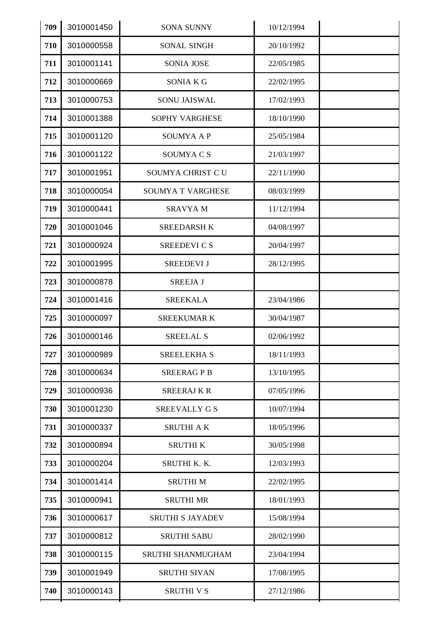| 709 | 3010001450 | <b>SONA SUNNY</b>       | 10/12/1994 |  |
|-----|------------|-------------------------|------------|--|
| 710 | 3010000558 | SONAL SINGH             | 20/10/1992 |  |
| 711 | 3010001141 | <b>SONIA JOSE</b>       | 22/05/1985 |  |
| 712 | 3010000669 | <b>SONIA K G</b>        | 22/02/1995 |  |
| 713 | 3010000753 | <b>SONU JAISWAL</b>     | 17/02/1993 |  |
| 714 | 3010001388 | <b>SOPHY VARGHESE</b>   | 18/10/1990 |  |
| 715 | 3010001120 | <b>SOUMYA A P</b>       | 25/05/1984 |  |
| 716 | 3010001122 | SOUMYA C S              | 21/03/1997 |  |
| 717 | 3010001951 | SOUMYA CHRIST C U       | 22/11/1990 |  |
| 718 | 3010000054 | SOUMYA T VARGHESE       | 08/03/1999 |  |
| 719 | 3010000441 | <b>SRAVYAM</b>          | 11/12/1994 |  |
| 720 | 3010001046 | <b>SREEDARSH K</b>      | 04/08/1997 |  |
| 721 | 3010000924 | SREEDEVI C S            | 20/04/1997 |  |
| 722 | 3010001995 | <b>SREEDEVI J</b>       | 28/12/1995 |  |
| 723 | 3010000878 | <b>SREEJA J</b>         |            |  |
| 724 | 3010001416 | <b>SREEKALA</b>         | 23/04/1986 |  |
| 725 | 3010000097 | <b>SREEKUMARK</b>       | 30/04/1987 |  |
| 726 | 3010000146 | <b>SREELAL S</b>        | 02/06/1992 |  |
| 727 | 3010000989 | <b>SREELEKHA S</b>      | 18/11/1993 |  |
| 728 | 3010000634 | <b>SREERAGPB</b>        | 13/10/1995 |  |
| 729 | 3010000936 | <b>SREERAJKR</b>        | 07/05/1996 |  |
| 730 | 3010001230 | <b>SREEVALLY G S</b>    | 10/07/1994 |  |
| 731 | 3010000337 | <b>SRUTHI AK</b>        | 18/05/1996 |  |
| 732 | 3010000894 | <b>SRUTHIK</b>          | 30/05/1998 |  |
| 733 | 3010000204 | SRUTHI K. K.            | 12/03/1993 |  |
| 734 | 3010001414 | <b>SRUTHIM</b>          | 22/02/1995 |  |
| 735 | 3010000941 | <b>SRUTHI MR</b>        | 18/01/1993 |  |
| 736 | 3010000617 | <b>SRUTHI S JAYADEV</b> | 15/08/1994 |  |
| 737 | 3010000812 | <b>SRUTHI SABU</b>      | 28/02/1990 |  |
| 738 | 3010000115 | SRUTHI SHANMUGHAM       | 23/04/1994 |  |
| 739 | 3010001949 | <b>SRUTHI SIVAN</b>     | 17/08/1995 |  |
| 740 | 3010000143 | <b>SRUTHI V S</b>       | 27/12/1986 |  |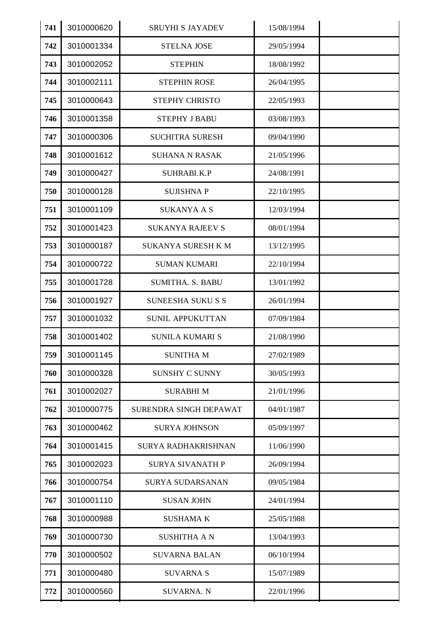| 741 | 3010000620 | <b>SRUYHI S JAYADEV</b>    | 15/08/1994 |  |
|-----|------------|----------------------------|------------|--|
| 742 | 3010001334 | <b>STELNA JOSE</b>         | 29/05/1994 |  |
| 743 | 3010002052 | <b>STEPHIN</b>             | 18/08/1992 |  |
| 744 | 3010002111 | <b>STEPHIN ROSE</b>        | 26/04/1995 |  |
| 745 | 3010000643 | STEPHY CHRISTO             | 22/05/1993 |  |
| 746 | 3010001358 | <b>STEPHY J BABU</b>       | 03/08/1993 |  |
| 747 | 3010000306 | <b>SUCHITRA SURESH</b>     | 09/04/1990 |  |
| 748 | 3010001612 | <b>SUHANA N RASAK</b>      | 21/05/1996 |  |
| 749 | 3010000427 | SUHRABI.K.P                | 24/08/1991 |  |
| 750 | 3010000128 | <b>SUJISHNAP</b>           | 22/10/1995 |  |
| 751 | 3010001109 | <b>SUKANYA A S</b>         | 12/03/1994 |  |
| 752 | 3010001423 | <b>SUKANYA RAJEEV S</b>    | 08/01/1994 |  |
| 753 | 3010000187 | <b>SUKANYA SURESH K M</b>  | 13/12/1995 |  |
| 754 | 3010000722 | <b>SUMAN KUMARI</b>        | 22/10/1994 |  |
| 755 | 3010001728 | SUMITHA. S. BABU           | 13/01/1992 |  |
| 756 | 3010001927 | <b>SUNEESHA SUKU S S</b>   | 26/01/1994 |  |
| 757 | 3010001032 | <b>SUNIL APPUKUTTAN</b>    | 07/09/1984 |  |
| 758 | 3010001402 | <b>SUNILA KUMARI S</b>     | 21/08/1990 |  |
| 759 | 3010001145 | <b>SUNITHAM</b>            | 27/02/1989 |  |
| 760 | 3010000328 | <b>SUNSHY C SUNNY</b>      | 30/05/1993 |  |
| 761 | 3010002027 | <b>SURABHIM</b>            | 21/01/1996 |  |
| 762 | 3010000775 | SURENDRA SINGH DEPAWAT     | 04/01/1987 |  |
| 763 | 3010000462 | <b>SURYA JOHNSON</b>       | 05/09/1997 |  |
| 764 | 3010001415 | <b>SURYA RADHAKRISHNAN</b> | 11/06/1990 |  |
| 765 | 3010002023 | <b>SURYA SIVANATH P</b>    | 26/09/1994 |  |
| 766 | 3010000754 | <b>SURYA SUDARSANAN</b>    | 09/05/1984 |  |
| 767 | 3010001110 | <b>SUSAN JOHN</b>          | 24/01/1994 |  |
| 768 | 3010000988 | <b>SUSHAMA K</b>           | 25/05/1988 |  |
| 769 | 3010000730 | <b>SUSHITHA A N</b>        | 13/04/1993 |  |
| 770 | 3010000502 | <b>SUVARNA BALAN</b>       | 06/10/1994 |  |
| 771 | 3010000480 | <b>SUVARNA S</b>           | 15/07/1989 |  |
| 772 | 3010000560 | <b>SUVARNA. N</b>          | 22/01/1996 |  |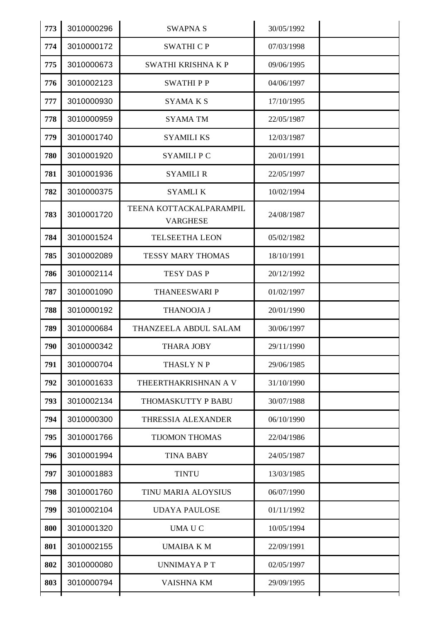| 773 | 3010000296 | <b>SWAPNA S</b>                            | 30/05/1992 |  |
|-----|------------|--------------------------------------------|------------|--|
| 774 | 3010000172 | <b>SWATHI CP</b>                           | 07/03/1998 |  |
| 775 | 3010000673 | SWATHI KRISHNA K P                         | 09/06/1995 |  |
| 776 | 3010002123 | <b>SWATHIPP</b>                            | 04/06/1997 |  |
| 777 | 3010000930 | <b>SYAMA K S</b>                           | 17/10/1995 |  |
| 778 | 3010000959 | <b>SYAMA TM</b>                            | 22/05/1987 |  |
| 779 | 3010001740 | <b>SYAMILI KS</b>                          | 12/03/1987 |  |
| 780 | 3010001920 | SYAMILI P C                                | 20/01/1991 |  |
| 781 | 3010001936 | <b>SYAMILI R</b>                           | 22/05/1997 |  |
| 782 | 3010000375 | <b>SYAMLIK</b>                             | 10/02/1994 |  |
| 783 | 3010001720 | TEENA KOTTACKALPARAMPIL<br><b>VARGHESE</b> | 24/08/1987 |  |
| 784 | 3010001524 | <b>TELSEETHA LEON</b>                      | 05/02/1982 |  |
| 785 | 3010002089 | TESSY MARY THOMAS                          | 18/10/1991 |  |
| 786 | 3010002114 | <b>TESY DAS P</b>                          | 20/12/1992 |  |
| 787 | 3010001090 | THANEESWARI P                              | 01/02/1997 |  |
| 788 | 3010000192 | THANOOJA J                                 | 20/01/1990 |  |
| 789 | 3010000684 | THANZEELA ABDUL SALAM                      | 30/06/1997 |  |
| 790 | 3010000342 | <b>THARA JOBY</b>                          | 29/11/1990 |  |
| 791 | 3010000704 | THASLY N P                                 | 29/06/1985 |  |
| 792 | 3010001633 | THEERTHAKRISHNAN A V                       | 31/10/1990 |  |
| 793 | 3010002134 | THOMASKUTTY P BABU                         | 30/07/1988 |  |
| 794 | 3010000300 | THRESSIA ALEXANDER                         | 06/10/1990 |  |
| 795 | 3010001766 | <b>TIJOMON THOMAS</b>                      | 22/04/1986 |  |
| 796 | 3010001994 | <b>TINA BABY</b>                           | 24/05/1987 |  |
| 797 | 3010001883 | <b>TINTU</b>                               | 13/03/1985 |  |
| 798 | 3010001760 | TINU MARIA ALOYSIUS                        | 06/07/1990 |  |
| 799 | 3010002104 | <b>UDAYA PAULOSE</b>                       | 01/11/1992 |  |
| 800 | 3010001320 | UMA U C                                    | 10/05/1994 |  |
| 801 | 3010002155 | <b>UMAIBA K M</b>                          | 22/09/1991 |  |
| 802 | 3010000080 | <b>UNNIMAYA P T</b>                        | 02/05/1997 |  |
| 803 | 3010000794 | <b>VAISHNA KM</b>                          | 29/09/1995 |  |